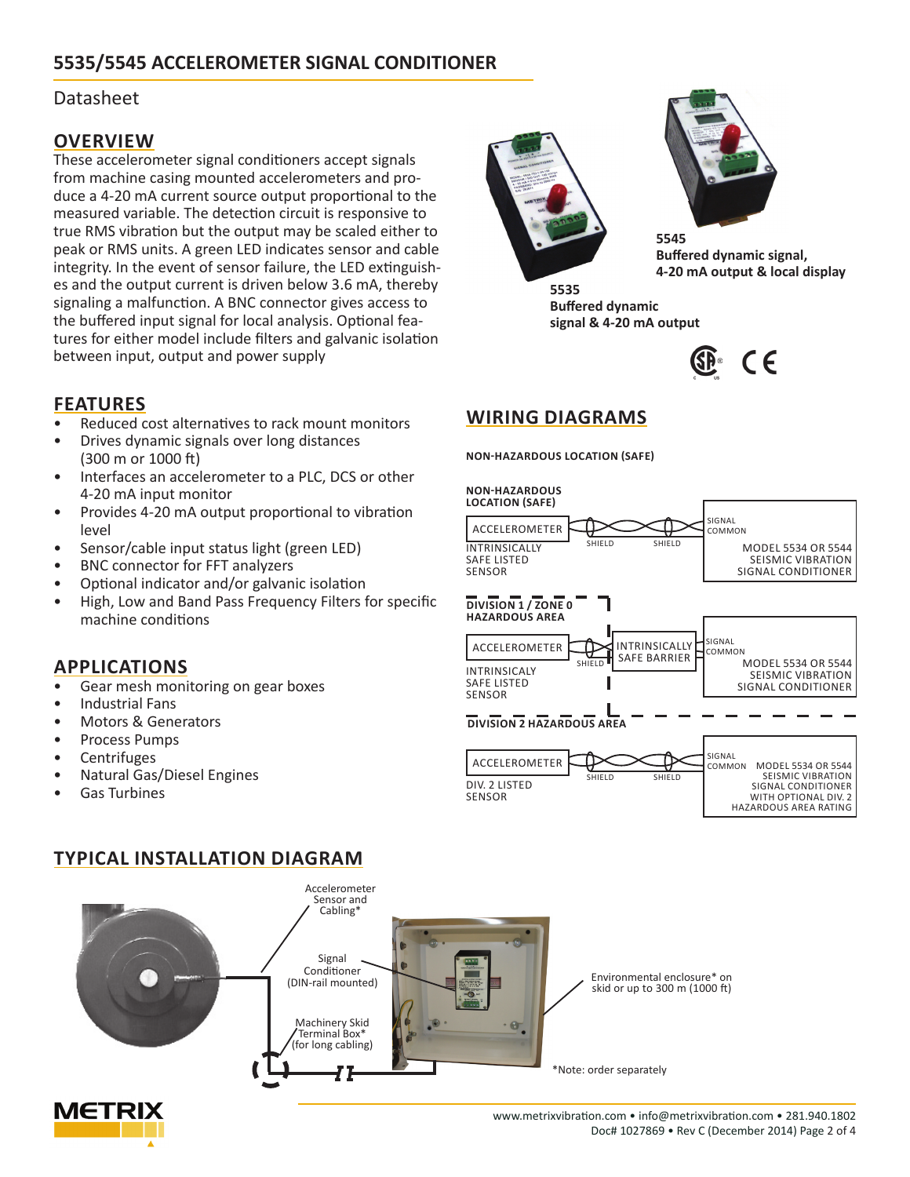# **5535/5545 ACCELEROMETER SIGNAL CONDITIONER**

### Datasheet

### **OVERVIEW**

These accelerometer signal conditioners accept signals from machine casing mounted accelerometers and produce a 4-20 mA current source output proportional to the measured variable. The detection circuit is responsive to true RMS vibration but the output may be scaled either to peak or RMS units. A green LED indicates sensor and cable integrity. In the event of sensor failure, the LED extinguishes and the output current is driven below 3.6 mA, thereby signaling a malfunction. A BNC connector gives access to the buffered input signal for local analysis. Optional features for either model include filters and galvanic isolation between input, output and power supply





**5545 Buffered dynamic signal, 4-20 mA output & local display**

**Buffered dynamic signal & 4-20 mA output**



# **WIRING DIAGRAMS**

**NON-HAZARDOUS LOCATION (SAFE)**



# **FEATURES**

- Reduced cost alternatives to rack mount monitors
- Drives dynamic signals over long distances (300 m or 1000 ft)
- Interfaces an accelerometer to a PLC, DCS or other 4-20 mA input monitor
- Provides 4-20 mA output proportional to vibration level
- Sensor/cable input status light (green LED)
- BNC connector for FFT analyzers
- Optional indicator and/or galvanic isolation
- High, Low and Band Pass Frequency Filters for specific machine conditions

### **APPLICATIONS**

- Gear mesh monitoring on gear boxes
- Industrial Fans
- Motors & Generators
- Process Pumps
- **Centrifuges**
- Natural Gas/Diesel Engines
- Gas Turbines

## **TYPICAL INSTALLATION DIAGRAM**



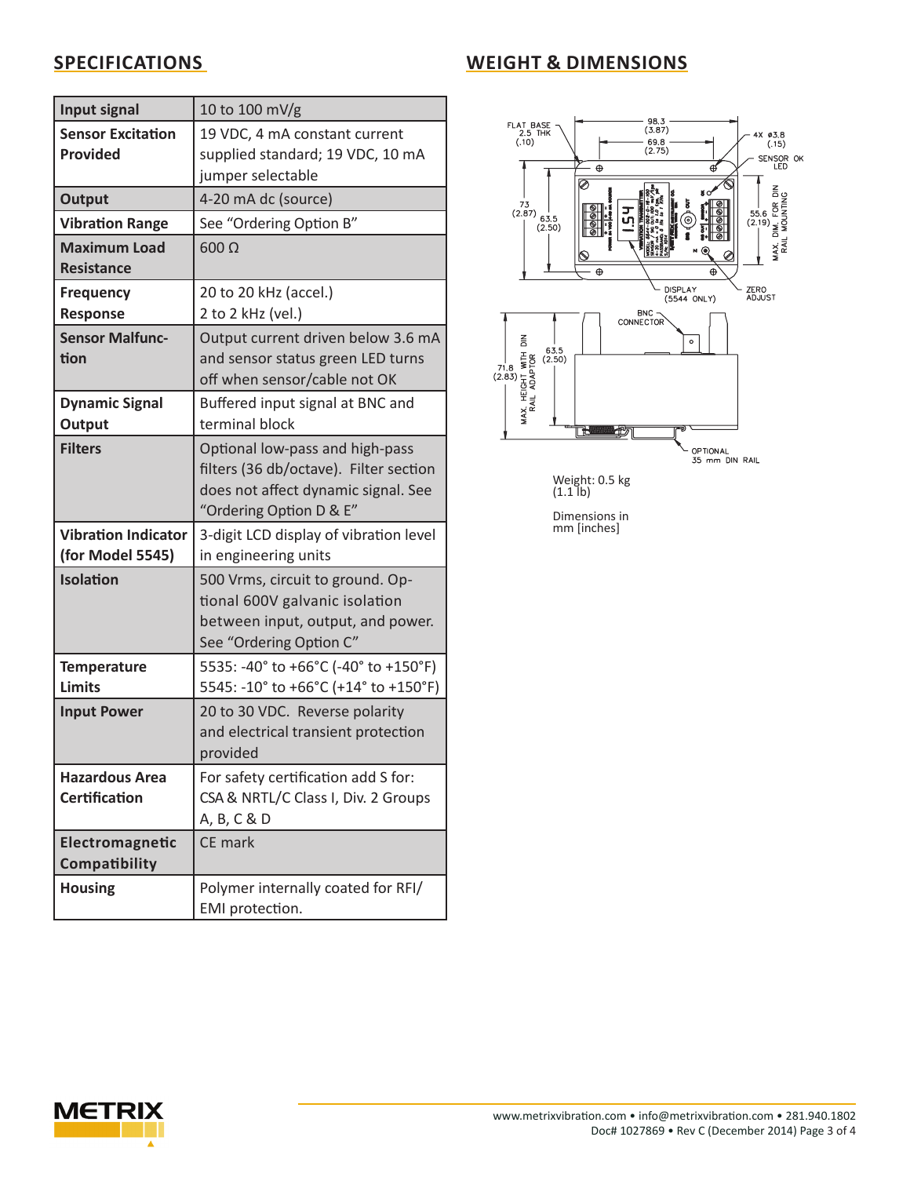# **SPECIFICATIONS**

| <b>WEIGHT &amp; DIMENSIONS</b> |  |
|--------------------------------|--|
|--------------------------------|--|

| Input signal                                   | 10 to 100 mV/g                                                                                                                              |
|------------------------------------------------|---------------------------------------------------------------------------------------------------------------------------------------------|
| <b>Sensor Excitation</b><br><b>Provided</b>    | 19 VDC, 4 mA constant current<br>supplied standard; 19 VDC, 10 mA<br>jumper selectable                                                      |
| <b>Output</b>                                  | 4-20 mA dc (source)                                                                                                                         |
| <b>Vibration Range</b>                         | See "Ordering Option B"                                                                                                                     |
| <b>Maximum Load</b><br><b>Resistance</b>       | $600 \Omega$                                                                                                                                |
| <b>Frequency</b><br><b>Response</b>            | 20 to 20 kHz (accel.)<br>2 to 2 kHz (vel.)                                                                                                  |
| <b>Sensor Malfunc-</b><br>tion                 | Output current driven below 3.6 mA<br>and sensor status green LED turns<br>off when sensor/cable not OK                                     |
| <b>Dynamic Signal</b><br>Output                | Buffered input signal at BNC and<br>terminal block                                                                                          |
| <b>Filters</b>                                 | Optional low-pass and high-pass<br>filters (36 db/octave). Filter section<br>does not affect dynamic signal. See<br>"Ordering Option D & E" |
| <b>Vibration Indicator</b><br>(for Model 5545) | 3-digit LCD display of vibration level<br>in engineering units                                                                              |
| Isolation                                      | 500 Vrms, circuit to ground. Op-<br>tional 600V galvanic isolation<br>between input, output, and power.<br>See "Ordering Option C"          |
| <b>Temperature</b><br><b>Limits</b>            | 5535: -40° to +66°C (-40° to +150°F)<br>5545: -10° to +66°C (+14° to +150°F)                                                                |
| <b>Input Power</b>                             | 20 to 30 VDC. Reverse polarity<br>and electrical transient protection<br>provided                                                           |
| <b>Hazardous Area</b><br><b>Certification</b>  | For safety certification add S for:<br>CSA & NRTL/C Class I, Div. 2 Groups<br>A, B, C & D                                                   |
| Electromagnetic<br>Compatibility               | CE mark                                                                                                                                     |
| <b>Housing</b>                                 | Polymer internally coated for RFI/<br>EMI protection.                                                                                       |



Dimensions in mm [inches]